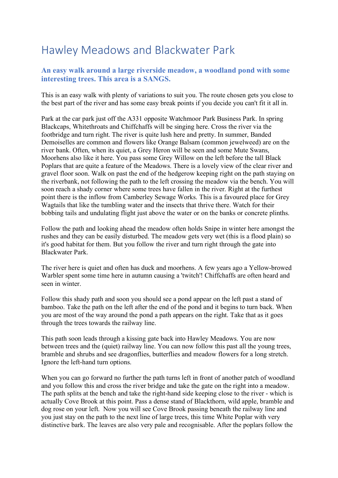## Hawley Meadows and Blackwater Park

## **An easy walk around a large riverside meadow, a woodland pond with some interesting trees. This area is a SANGS.**

This is an easy walk with plenty of variations to suit you. The route chosen gets you close to the best part of the river and has some easy break points if you decide you can't fit it all in.

Park at the car park just off the A331 opposite Watchmoor Park Business Park. In spring Blackcaps, Whitethroats and Chiffchaffs will be singing here. Cross the river via the footbridge and turn right. The river is quite lush here and pretty. In summer, Banded Demoiselles are common and flowers like Orange Balsam (common jewelweed) are on the river bank. Often, when its quiet, a Grey Heron will be seen and some Mute Swans, Moorhens also like it here. You pass some Grey Willow on the left before the tall Black Poplars that are quite a feature of the Meadows. There is a lovely view of the clear river and gravel floor soon. Walk on past the end of the hedgerow keeping right on the path staying on the riverbank, not following the path to the left crossing the meadow via the bench. You will soon reach a shady corner where some trees have fallen in the river. Right at the furthest point there is the inflow from Camberley Sewage Works. This is a favoured place for Grey Wagtails that like the tumbling water and the insects that thrive there. Watch for their bobbing tails and undulating flight just above the water or on the banks or concrete plinths.

Follow the path and looking ahead the meadow often holds Snipe in winter here amongst the rushes and they can be easily disturbed. The meadow gets very wet (this is a flood plain) so it's good habitat for them. But you follow the river and turn right through the gate into Blackwater Park.

The river here is quiet and often has duck and moorhens. A few years ago a Yellow-browed Warbler spent some time here in autumn causing a 'twitch'! Chiffchaffs are often heard and seen in winter

Follow this shady path and soon you should see a pond appear on the left past a stand of bamboo. Take the path on the left after the end of the pond and it begins to turn back. When you are most of the way around the pond a path appears on the right. Take that as it goes through the trees towards the railway line.

This path soon leads through a kissing gate back into Hawley Meadows. You are now between trees and the (quiet) railway line. You can now follow this past all the young trees, bramble and shrubs and see dragonflies, butterflies and meadow flowers for a long stretch. Ignore the left-hand turn options.

When you can go forward no further the path turns left in front of another patch of woodland and you follow this and cross the river bridge and take the gate on the right into a meadow. The path splits at the bench and take the right-hand side keeping close to the river - which is actually Cove Brook at this point. Pass a dense stand of Blackthorn, wild apple, bramble and dog rose on your left. Now you will see Cove Brook passing beneath the railway line and you just stay on the path to the next line of large trees, this time White Poplar with very distinctive bark. The leaves are also very pale and recognisable. After the poplars follow the